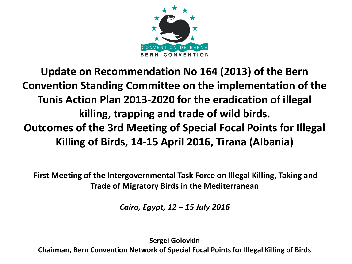

### **Update on Recommendation No 164 (2013) of the Bern Convention Standing Committee on the implementation of the Tunis Action Plan 2013-2020 for the eradication of illegal killing, trapping and trade of wild birds. Outcomes of the 3rd Meeting of Special Focal Points for Illegal Killing of Birds, 14-15 April 2016, Tirana (Albania)**

**First Meeting of the Intergovernmental Task Force on Illegal Killing, Taking and Trade of Migratory Birds in the Mediterranean** 

*Cairo, Egypt, 12 – 15 July 2016* 

**Sergei Golovkin Chairman, Bern Convention Network of Special Focal Points for Illegal Killing of Birds**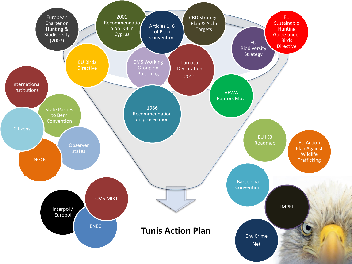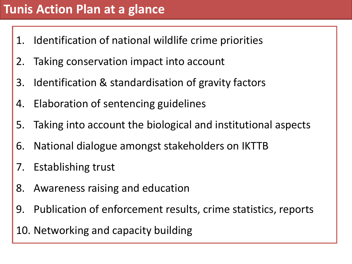## **Tunis Action Plan at a glance**

- 1. Identification of national wildlife crime priorities
- 2. Taking conservation impact into account
- 3. Identification & standardisation of gravity factors
- 4. Elaboration of sentencing guidelines
- 5. Taking into account the biological and institutional aspects
- 6. National dialogue amongst stakeholders on IKTTB
- 7. Establishing trust
- 8. Awareness raising and education
- 9. Publication of enforcement results, crime statistics, reports
- 10. Networking and capacity building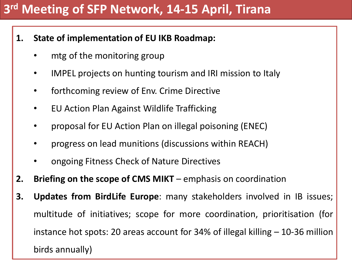## **3 rd Meeting of SFP Network, 14-15 April, Tirana**

- **1. State of implementation of EU IKB Roadmap:**
	- mtg of the monitoring group
	- IMPEL projects on hunting tourism and IRI mission to Italy
	- forthcoming review of Env. Crime Directive
	- EU Action Plan Against Wildlife Trafficking
	- proposal for EU Action Plan on illegal poisoning (ENEC)
	- progress on lead munitions (discussions within REACH)
	- ongoing Fitness Check of Nature Directives
- **2. Briefing on the scope of CMS MIKT** emphasis on coordination
- **3. Updates from BirdLife Europe**: many stakeholders involved in IB issues; multitude of initiatives; scope for more coordination, prioritisation (for instance hot spots: 20 areas account for 34% of illegal killing – 10-36 million birds annually)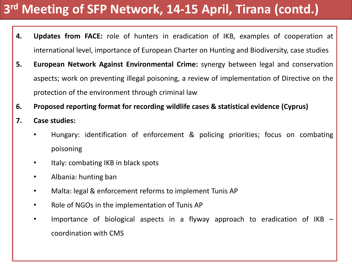# **3 rd Meeting of SFP Network, 14-15 April, Tirana (contd.)**

- **4. Updates from FACE:** role of hunters in eradication of IKB, examples of cooperation at international level, importance of European Charter on Hunting and Biodiversity, case studies
- **5. European Network Against Environmental Crime:** synergy between legal and conservation aspects; work on preventing illegal poisoning, a review of implementation of Directive on the protection of the environment through criminal law
- **6. Proposed reporting format for recording wildlife cases & statistical evidence (Cyprus)**
- **7. Case studies:**
	- Hungary: identification of enforcement & policing priorities; focus on combating poisoning
	- Italy: combating IKB in black spots
	- Albania: hunting ban
	- Malta: legal & enforcement reforms to implement Tunis AP
	- Role of NGOs in the implementation of Tunis AP
	- Importance of biological aspects in a flyway approach to eradication of IKB coordination with CMS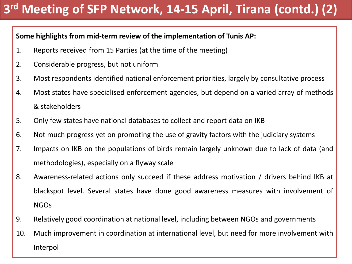# **3 rd Meeting of SFP Network, 14-15 April, Tirana (contd.) (2)**

#### **Some highlights from mid-term review of the implementation of Tunis AP:**

- 1. Reports received from 15 Parties (at the time of the meeting)
- 2. Considerable progress, but not uniform
- 3. Most respondents identified national enforcement priorities, largely by consultative process
- 4. Most states have specialised enforcement agencies, but depend on a varied array of methods & stakeholders
- 5. Only few states have national databases to collect and report data on IKB
- 6. Not much progress yet on promoting the use of gravity factors with the judiciary systems
- 7. Impacts on IKB on the populations of birds remain largely unknown due to lack of data (and methodologies), especially on a flyway scale
- 8. Awareness-related actions only succeed if these address motivation / drivers behind IKB at blackspot level. Several states have done good awareness measures with involvement of NGOs
- 9. Relatively good coordination at national level, including between NGOs and governments
- 10. Much improvement in coordination at international level, but need for more involvement with Interpol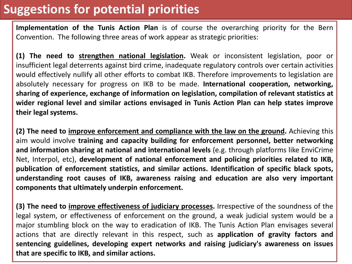### **Suggestions for potential priorities**

**Implementation of the Tunis Action Plan** is of course the overarching priority for the Bern Convention. The following three areas of work appear as strategic priorities:

**(1) The need to strengthen national legislation.** Weak or inconsistent legislation, poor or insufficient legal deterrents against bird crime, inadequate regulatory controls over certain activities would effectively nullify all other efforts to combat IKB. Therefore improvements to legislation are absolutely necessary for progress on IKB to be made. **International cooperation, networking, sharing of experience, exchange of information on legislation, compilation of relevant statistics at wider regional level and similar actions envisaged in Tunis Action Plan can help states improve their legal systems.**

**(2) The need to improve enforcement and compliance with the law on the ground.** Achieving this aim would involve **training and capacity building for enforcement personnel, better networking and information sharing at national and international levels** (e.g. through platforms like EnviCrime Net, Interpol, etc), **development of national enforcement and policing priorities related to IKB, publication of enforcement statistics, and similar actions. Identification of specific black spots, understanding root causes of IKB, awareness raising and education are also very important components that ultimately underpin enforcement.**

**(3) The need to improve effectiveness of judiciary processes.** Irrespective of the soundness of the legal system, or effectiveness of enforcement on the ground, a weak judicial system would be a major stumbling block on the way to eradication of IKB. The Tunis Action Plan envisages several actions that are directly relevant in this respect, such as **application of gravity factors and sentencing guidelines, developing expert networks and raising judiciary's awareness on issues that are specific to IKB, and similar actions.**